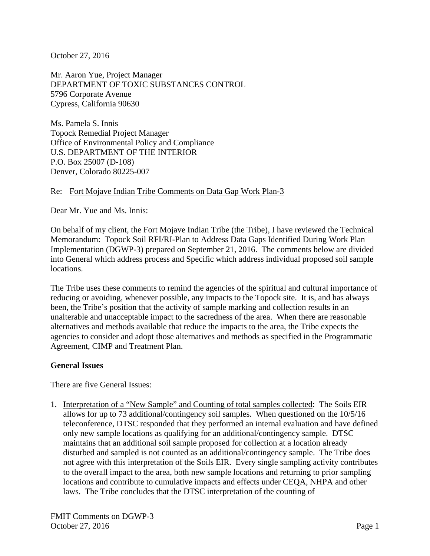October 27, 2016

Mr. Aaron Yue, Project Manager DEPARTMENT OF TOXIC SUBSTANCES CONTROL 5796 Corporate Avenue Cypress, California 90630

Ms. Pamela S. Innis Topock Remedial Project Manager Office of Environmental Policy and Compliance U.S. DEPARTMENT OF THE INTERIOR P.O. Box 25007 (D-108) Denver, Colorado 80225-007

## Re: Fort Mojave Indian Tribe Comments on Data Gap Work Plan-3

Dear Mr. Yue and Ms. Innis:

On behalf of my client, the Fort Mojave Indian Tribe (the Tribe), I have reviewed the Technical Memorandum: Topock Soil RFI/RI-Plan to Address Data Gaps Identified During Work Plan Implementation (DGWP-3) prepared on September 21, 2016. The comments below are divided into General which address process and Specific which address individual proposed soil sample locations.

The Tribe uses these comments to remind the agencies of the spiritual and cultural importance of reducing or avoiding, whenever possible, any impacts to the Topock site. It is, and has always been, the Tribe's position that the activity of sample marking and collection results in an unalterable and unacceptable impact to the sacredness of the area. When there are reasonable alternatives and methods available that reduce the impacts to the area, the Tribe expects the agencies to consider and adopt those alternatives and methods as specified in the Programmatic Agreement, CIMP and Treatment Plan.

## **General Issues**

There are five General Issues:

1. Interpretation of a "New Sample" and Counting of total samples collected: The Soils EIR allows for up to 73 additional/contingency soil samples. When questioned on the 10/5/16 teleconference, DTSC responded that they performed an internal evaluation and have defined only new sample locations as qualifying for an additional/contingency sample. DTSC maintains that an additional soil sample proposed for collection at a location already disturbed and sampled is not counted as an additional/contingency sample. The Tribe does not agree with this interpretation of the Soils EIR. Every single sampling activity contributes to the overall impact to the area, both new sample locations and returning to prior sampling locations and contribute to cumulative impacts and effects under CEQA, NHPA and other laws. The Tribe concludes that the DTSC interpretation of the counting of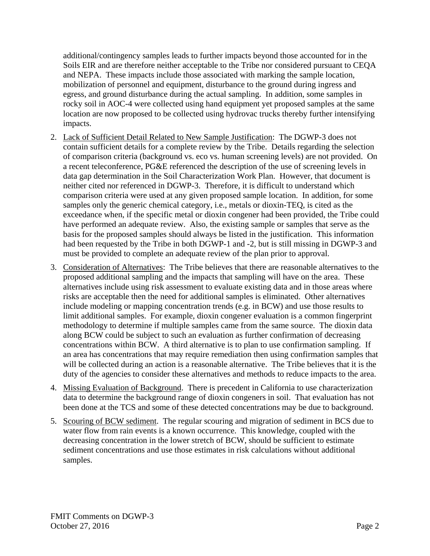additional/contingency samples leads to further impacts beyond those accounted for in the Soils EIR and are therefore neither acceptable to the Tribe nor considered pursuant to CEQA and NEPA. These impacts include those associated with marking the sample location, mobilization of personnel and equipment, disturbance to the ground during ingress and egress, and ground disturbance during the actual sampling. In addition, some samples in rocky soil in AOC-4 were collected using hand equipment yet proposed samples at the same location are now proposed to be collected using hydrovac trucks thereby further intensifying impacts.

- 2. Lack of Sufficient Detail Related to New Sample Justification: The DGWP-3 does not contain sufficient details for a complete review by the Tribe. Details regarding the selection of comparison criteria (background vs. eco vs. human screening levels) are not provided. On a recent teleconference, PG&E referenced the description of the use of screening levels in data gap determination in the Soil Characterization Work Plan. However, that document is neither cited nor referenced in DGWP-3. Therefore, it is difficult to understand which comparison criteria were used at any given proposed sample location. In addition, for some samples only the generic chemical category, i.e., metals or dioxin-TEQ, is cited as the exceedance when, if the specific metal or dioxin congener had been provided, the Tribe could have performed an adequate review. Also, the existing sample or samples that serve as the basis for the proposed samples should always be listed in the justification. This information had been requested by the Tribe in both DGWP-1 and -2, but is still missing in DGWP-3 and must be provided to complete an adequate review of the plan prior to approval.
- 3. Consideration of Alternatives: The Tribe believes that there are reasonable alternatives to the proposed additional sampling and the impacts that sampling will have on the area. These alternatives include using risk assessment to evaluate existing data and in those areas where risks are acceptable then the need for additional samples is eliminated. Other alternatives include modeling or mapping concentration trends (e.g. in BCW) and use those results to limit additional samples. For example, dioxin congener evaluation is a common fingerprint methodology to determine if multiple samples came from the same source. The dioxin data along BCW could be subject to such an evaluation as further confirmation of decreasing concentrations within BCW. A third alternative is to plan to use confirmation sampling. If an area has concentrations that may require remediation then using confirmation samples that will be collected during an action is a reasonable alternative. The Tribe believes that it is the duty of the agencies to consider these alternatives and methods to reduce impacts to the area.
- 4. Missing Evaluation of Background. There is precedent in California to use characterization data to determine the background range of dioxin congeners in soil. That evaluation has not been done at the TCS and some of these detected concentrations may be due to background.
- 5. Scouring of BCW sediment. The regular scouring and migration of sediment in BCS due to water flow from rain events is a known occurrence. This knowledge, coupled with the decreasing concentration in the lower stretch of BCW, should be sufficient to estimate sediment concentrations and use those estimates in risk calculations without additional samples.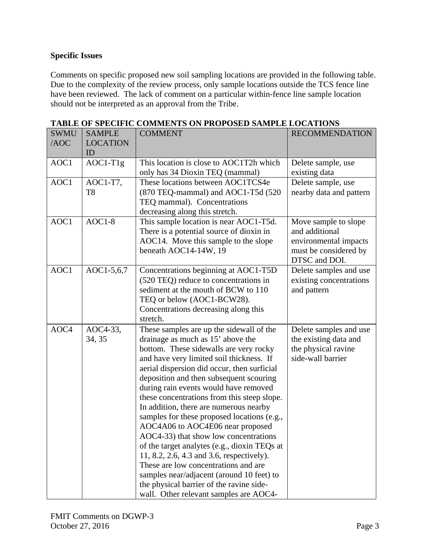## **Specific Issues**

Comments on specific proposed new soil sampling locations are provided in the following table. Due to the complexity of the review process, only sample locations outside the TCS fence line have been reviewed. The lack of comment on a particular within-fence line sample location should not be interpreted as an approval from the Tribe.

| <b>SWMU</b> | <b>SAMPLE</b>   | <b>COMMENT</b>                                                                     | <b>RECOMMENDATION</b>                        |
|-------------|-----------------|------------------------------------------------------------------------------------|----------------------------------------------|
| /AOC        | <b>LOCATION</b> |                                                                                    |                                              |
|             | ID              |                                                                                    |                                              |
| AOC1        | $AOC1-T1g$      | This location is close to AOC1T2h which                                            | Delete sample, use                           |
|             |                 | only has 34 Dioxin TEQ (mammal)                                                    | existing data                                |
| AOC1        | AOC1-T7,        | These locations between AOC1TCS4e                                                  | Delete sample, use                           |
|             | T <sub>8</sub>  | (870 TEQ-mammal) and AOC1-T5d (520                                                 | nearby data and pattern                      |
|             |                 | TEQ mammal). Concentrations                                                        |                                              |
|             |                 | decreasing along this stretch.                                                     |                                              |
| AOC1        | $AOC1-8$        | This sample location is near AOC1-T5d.                                             | Move sample to slope                         |
|             |                 | There is a potential source of dioxin in                                           | and additional                               |
|             |                 | AOC14. Move this sample to the slope                                               | environmental impacts                        |
|             |                 | beneath AOC14-14W, 19                                                              | must be considered by                        |
|             |                 |                                                                                    | DTSC and DOI.                                |
| AOC1        | AOC1-5,6,7      | Concentrations beginning at AOC1-T5D                                               | Delete samples and use                       |
|             |                 | (520 TEQ) reduce to concentrations in                                              | existing concentrations                      |
|             |                 | sediment at the mouth of BCW to 110                                                | and pattern                                  |
|             |                 | TEQ or below (AOC1-BCW28).                                                         |                                              |
|             |                 | Concentrations decreasing along this<br>stretch.                                   |                                              |
|             |                 |                                                                                    |                                              |
| AOC4        | AOC4-33,        | These samples are up the sidewall of the                                           | Delete samples and use                       |
|             | 34, 35          | drainage as much as 15' above the                                                  | the existing data and<br>the physical ravine |
|             |                 | bottom. These sidewalls are very rocky<br>and have very limited soil thickness. If | side-wall barrier                            |
|             |                 | aerial dispersion did occur, then surficial                                        |                                              |
|             |                 | deposition and then subsequent scouring                                            |                                              |
|             |                 | during rain events would have removed                                              |                                              |
|             |                 | these concentrations from this steep slope.                                        |                                              |
|             |                 | In addition, there are numerous nearby                                             |                                              |
|             |                 | samples for these proposed locations (e.g.,                                        |                                              |
|             |                 | AOC4A06 to AOC4E06 near proposed                                                   |                                              |
|             |                 | AOC4-33) that show low concentrations                                              |                                              |
|             |                 | of the target analytes (e.g., dioxin TEQs at                                       |                                              |
|             |                 | 11, 8.2, 2.6, 4.3 and 3.6, respectively).                                          |                                              |
|             |                 | These are low concentrations and are                                               |                                              |
|             |                 | samples near/adjacent (around 10 feet) to                                          |                                              |
|             |                 | the physical barrier of the ravine side-                                           |                                              |
|             |                 | wall. Other relevant samples are AOC4-                                             |                                              |

## **TABLE OF SPECIFIC COMMENTS ON PROPOSED SAMPLE LOCATIONS**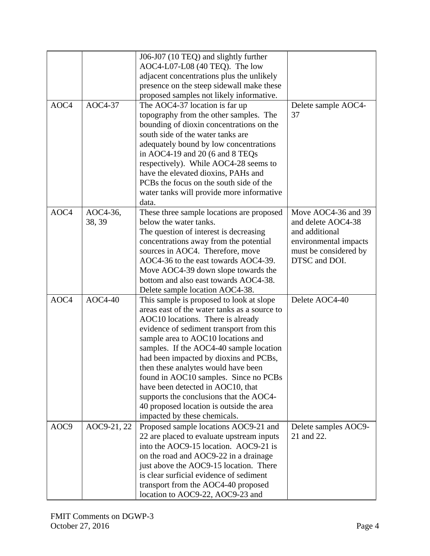|                  |                | J06-J07 (10 TEQ) and slightly further                                         |                                    |
|------------------|----------------|-------------------------------------------------------------------------------|------------------------------------|
|                  |                | $AOC4-L07-L08$ (40 TEQ). The low                                              |                                    |
|                  |                | adjacent concentrations plus the unlikely                                     |                                    |
|                  |                | presence on the steep sidewall make these                                     |                                    |
|                  |                |                                                                               |                                    |
| AOC4             | AOC4-37        | proposed samples not likely informative.                                      |                                    |
|                  |                | The AOC4-37 location is far up                                                | Delete sample AOC4-                |
|                  |                | topography from the other samples. The                                        | 37                                 |
|                  |                | bounding of dioxin concentrations on the<br>south side of the water tanks are |                                    |
|                  |                |                                                                               |                                    |
|                  |                | adequately bound by low concentrations                                        |                                    |
|                  |                | in AOC4-19 and 20 (6 and 8 TEQs                                               |                                    |
|                  |                | respectively). While AOC4-28 seems to                                         |                                    |
|                  |                | have the elevated dioxins, PAHs and                                           |                                    |
|                  |                | PCBs the focus on the south side of the                                       |                                    |
|                  |                | water tanks will provide more informative                                     |                                    |
|                  |                | data.                                                                         |                                    |
| AOC4             | AOC4-36,       | These three sample locations are proposed                                     | Move AOC4-36 and 39                |
|                  | 38, 39         | below the water tanks.                                                        | and delete AOC4-38                 |
|                  |                | The question of interest is decreasing                                        | and additional                     |
|                  |                | concentrations away from the potential                                        | environmental impacts              |
|                  |                | sources in AOC4. Therefore, move                                              | must be considered by              |
|                  |                | AOC4-36 to the east towards AOC4-39.                                          | DTSC and DOI.                      |
|                  |                | Move AOC4-39 down slope towards the                                           |                                    |
|                  |                | bottom and also east towards AOC4-38.                                         |                                    |
|                  |                | Delete sample location AOC4-38.                                               |                                    |
| AOC <sub>4</sub> | <b>AOC4-40</b> | This sample is proposed to look at slope                                      | Delete AOC4-40                     |
|                  |                | areas east of the water tanks as a source to                                  |                                    |
|                  |                | AOC10 locations. There is already                                             |                                    |
|                  |                | evidence of sediment transport from this                                      |                                    |
|                  |                | sample area to AOC10 locations and                                            |                                    |
|                  |                | samples. If the AOC4-40 sample location                                       |                                    |
|                  |                | had been impacted by dioxins and PCBs,                                        |                                    |
|                  |                | then these analytes would have been                                           |                                    |
|                  |                | found in AOC10 samples. Since no PCBs<br>have been detected in AOC10, that    |                                    |
|                  |                | supports the conclusions that the AOC4-                                       |                                    |
|                  |                |                                                                               |                                    |
|                  |                | 40 proposed location is outside the area<br>impacted by these chemicals.      |                                    |
| AOC9             |                | Proposed sample locations AOC9-21 and                                         |                                    |
|                  | AOC9-21, 22    | 22 are placed to evaluate upstream inputs                                     | Delete samples AOC9-<br>21 and 22. |
|                  |                | into the AOC9-15 location. AOC9-21 is                                         |                                    |
|                  |                |                                                                               |                                    |
|                  |                | on the road and AOC9-22 in a drainage                                         |                                    |
|                  |                | just above the AOC9-15 location. There                                        |                                    |
|                  |                | is clear surficial evidence of sediment                                       |                                    |
|                  |                | transport from the AOC4-40 proposed                                           |                                    |
|                  |                | location to AOC9-22, AOC9-23 and                                              |                                    |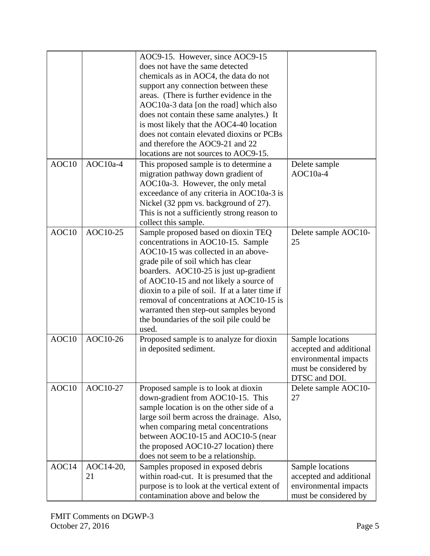|       |           | AOC9-15. However, since AOC9-15                 |                         |
|-------|-----------|-------------------------------------------------|-------------------------|
|       |           | does not have the same detected                 |                         |
|       |           | chemicals as in AOC4, the data do not           |                         |
|       |           | support any connection between these            |                         |
|       |           | areas. (There is further evidence in the        |                         |
|       |           | AOC10a-3 data [on the road] which also          |                         |
|       |           | does not contain these same analytes.) It       |                         |
|       |           | is most likely that the AOC4-40 location        |                         |
|       |           | does not contain elevated dioxins or PCBs       |                         |
|       |           | and therefore the AOC9-21 and 22                |                         |
|       |           | locations are not sources to AOC9-15.           |                         |
| AOC10 |           |                                                 |                         |
|       | AOC10a-4  | This proposed sample is to determine a          | Delete sample           |
|       |           | migration pathway down gradient of              | AOC10a-4                |
|       |           | AOC10a-3. However, the only metal               |                         |
|       |           | exceedance of any criteria in AOC10a-3 is       |                         |
|       |           | Nickel (32 ppm vs. background of 27).           |                         |
|       |           | This is not a sufficiently strong reason to     |                         |
|       |           | collect this sample.                            |                         |
| AOC10 | AOC10-25  | Sample proposed based on dioxin TEQ             | Delete sample AOC10-    |
|       |           | concentrations in AOC10-15. Sample              | 25                      |
|       |           | AOC10-15 was collected in an above-             |                         |
|       |           | grade pile of soil which has clear              |                         |
|       |           | boarders. AOC10-25 is just up-gradient          |                         |
|       |           | of AOC10-15 and not likely a source of          |                         |
|       |           | dioxin to a pile of soil. If at a later time if |                         |
|       |           | removal of concentrations at AOC10-15 is        |                         |
|       |           | warranted then step-out samples beyond          |                         |
|       |           | the boundaries of the soil pile could be        |                         |
|       |           | used.                                           |                         |
| AOC10 | AOC10-26  | Proposed sample is to analyze for dioxin        | Sample locations        |
|       |           | in deposited sediment.                          | accepted and additional |
|       |           |                                                 | environmental impacts   |
|       |           |                                                 | must be considered by   |
|       |           |                                                 | DTSC and DOI.           |
| AOC10 | AOC10-27  | Proposed sample is to look at dioxin            | Delete sample AOC10-    |
|       |           | down-gradient from AOC10-15. This               | 27                      |
|       |           | sample location is on the other side of a       |                         |
|       |           | large soil berm across the drainage. Also,      |                         |
|       |           | when comparing metal concentrations             |                         |
|       |           | between AOC10-15 and AOC10-5 (near              |                         |
|       |           | the proposed AOC10-27 location) there           |                         |
|       |           | does not seem to be a relationship.             |                         |
| AOC14 | AOC14-20, | Samples proposed in exposed debris              | Sample locations        |
|       | 21        | within road-cut. It is presumed that the        | accepted and additional |
|       |           | purpose is to look at the vertical extent of    | environmental impacts   |
|       |           | contamination above and below the               | must be considered by   |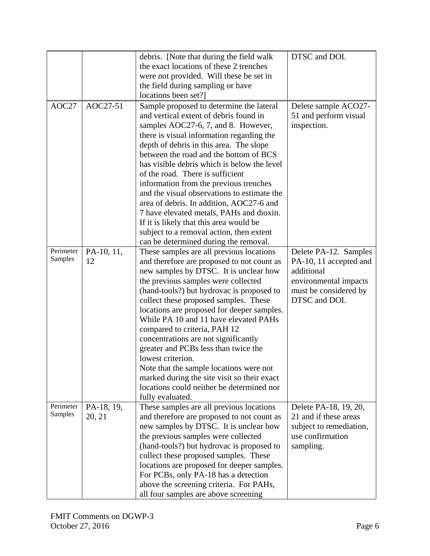|           |                  | debris. [Note that during the field walk                                             | DTSC and DOI.                        |
|-----------|------------------|--------------------------------------------------------------------------------------|--------------------------------------|
|           |                  | the exact locations of these 2 trenches                                              |                                      |
|           |                  | were not provided. Will these be set in                                              |                                      |
|           |                  | the field during sampling or have                                                    |                                      |
|           |                  | locations been set?]                                                                 |                                      |
| AOC27     | AOC27-51         | Sample proposed to determine the lateral                                             | Delete sample ACO27-                 |
|           |                  | and vertical extent of debris found in                                               | 51 and perform visual                |
|           |                  | samples AOC27-6, 7, and 8. However,                                                  | inspection.                          |
|           |                  | there is visual information regarding the                                            |                                      |
|           |                  | depth of debris in this area. The slope                                              |                                      |
|           |                  | between the road and the bottom of BCS                                               |                                      |
|           |                  | has visible debris which is below the level                                          |                                      |
|           |                  | of the road. There is sufficient                                                     |                                      |
|           |                  | information from the previous trenches                                               |                                      |
|           |                  | and the visual observations to estimate the                                          |                                      |
|           |                  | area of debris. In addition, AOC27-6 and                                             |                                      |
|           |                  | 7 have elevated metals, PAHs and dioxin.                                             |                                      |
|           |                  |                                                                                      |                                      |
|           |                  | If it is likely that this area would be                                              |                                      |
|           |                  | subject to a removal action, then extent                                             |                                      |
| Perimeter |                  | can be determined during the removal.                                                |                                      |
| Samples   | PA-10, 11,<br>12 | These samples are all previous locations                                             | Delete PA-12. Samples                |
|           |                  | and therefore are proposed to not count as                                           | PA-10, 11 accepted and<br>additional |
|           |                  | new samples by DTSC. It is unclear how                                               |                                      |
|           |                  | the previous samples were collected                                                  | environmental impacts                |
|           |                  | (hand-tools?) but hydrovac is proposed to                                            | must be considered by                |
|           |                  | collect these proposed samples. These                                                | DTSC and DOI.                        |
|           |                  | locations are proposed for deeper samples.<br>While PA 10 and 11 have elevated PAHs  |                                      |
|           |                  |                                                                                      |                                      |
|           |                  | compared to criteria, PAH 12<br>concentrations are not significantly                 |                                      |
|           |                  | greater and PCBs less than twice the                                                 |                                      |
|           |                  | lowest criterion.                                                                    |                                      |
|           |                  |                                                                                      |                                      |
|           |                  | Note that the sample locations were not                                              |                                      |
|           |                  | marked during the site visit so their exact                                          |                                      |
|           |                  | locations could neither be determined nor                                            |                                      |
| Perimeter | PA-18, 19,       | fully evaluated.<br>These samples are all previous locations                         | Delete PA-18, 19, 20,                |
| Samples   | 20, 21           |                                                                                      | 21 and if these areas                |
|           |                  | and therefore are proposed to not count as<br>new samples by DTSC. It is unclear how | subject to remediation,              |
|           |                  | the previous samples were collected                                                  | use confirmation                     |
|           |                  | (hand-tools?) but hydrovac is proposed to                                            | sampling.                            |
|           |                  |                                                                                      |                                      |
|           |                  | collect these proposed samples. These<br>locations are proposed for deeper samples.  |                                      |
|           |                  | For PCBs, only PA-18 has a detection                                                 |                                      |
|           |                  |                                                                                      |                                      |
|           |                  | above the screening criteria. For PAHs,                                              |                                      |
|           |                  | all four samples are above screening                                                 |                                      |